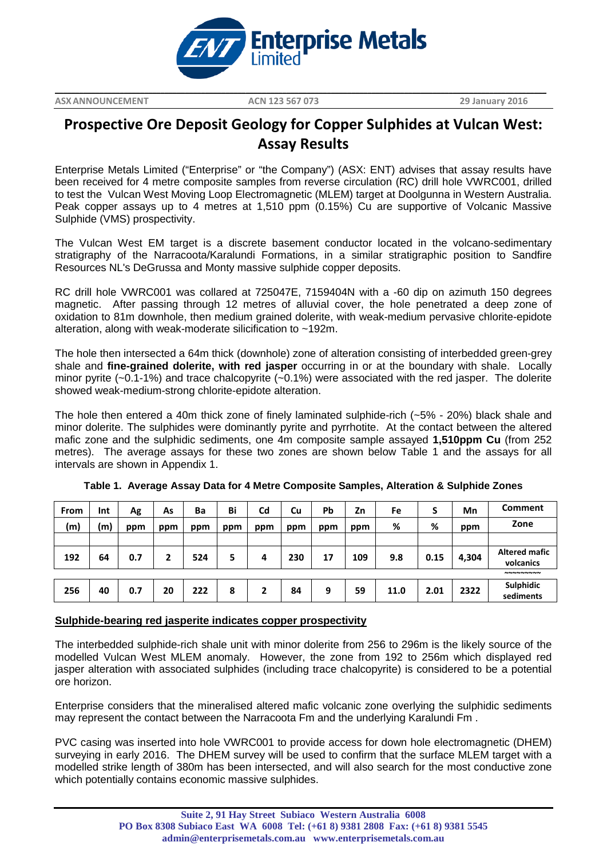

**ASXANNOUNCEMENT ACN 123 567 073 29 January 2016**

**\_\_\_\_\_\_\_\_\_\_\_\_\_\_\_\_\_\_\_\_\_\_\_\_\_\_\_\_\_\_\_\_\_\_\_\_\_\_\_\_\_\_\_\_\_\_\_\_\_\_\_\_\_\_\_\_\_\_\_\_\_\_\_\_\_\_\_\_\_\_\_\_\_\_\_\_\_\_\_\_\_\_\_\_\_\_\_\_\_\_\_\_\_\_\_\_\_\_\_\_\_\_\_\_\_\_\_\_\_\_\_\_\_\_\_\_\_\_\_\_\_**

# **Prospective Ore Deposit Geology for Copper Sulphides at Vulcan West: Assay Results**

Enterprise Metals Limited ("Enterprise" or "the Company") (ASX: ENT) advises that assay results have been received for 4 metre composite samples from reverse circulation (RC) drill hole VWRC001, drilled to test the Vulcan West Moving Loop Electromagnetic (MLEM) target at Doolgunna in Western Australia. Peak copper assays up to 4 metres at 1,510 ppm (0.15%) Cu are supportive of Volcanic Massive Sulphide (VMS) prospectivity.

The Vulcan West EM target is a discrete basement conductor located in the volcano-sedimentary stratigraphy of the Narracoota/Karalundi Formations, in a similar stratigraphic position to Sandfire Resources NL's DeGrussa and Monty massive sulphide copper deposits.

RC drill hole VWRC001 was collared at 725047E, 7159404N with a -60 dip on azimuth 150 degrees magnetic. After passing through 12 metres of alluvial cover, the hole penetrated a deep zone of oxidation to 81m downhole, then medium grained dolerite, with weak-medium pervasive chlorite-epidote alteration, along with weak-moderate silicification to ~192m.

The hole then intersected a 64m thick (downhole) zone of alteration consisting of interbedded green-grey shale and **fine-grained dolerite, with red jasper** occurring in or at the boundary with shale. Locally minor pyrite (~0.1-1%) and trace chalcopyrite (~0.1%) were associated with the red jasper. The dolerite showed weak-medium-strong chlorite-epidote alteration.

The hole then entered a 40m thick zone of finely laminated sulphide-rich (~5% - 20%) black shale and minor dolerite. The sulphides were dominantly pyrite and pyrrhotite. At the contact between the altered mafic zone and the sulphidic sediments, one 4m composite sample assayed **1,510ppm Cu** (from 252 metres). The average assays for these two zones are shown below Table 1 and the assays for all intervals are shown in Appendix 1.

| From | Int | Ag  | As  | Ba  | Bi  | Cd  | Cu  | <b>Pb</b> | Zn  | Fe   | S    | Mn    | Comment                           |
|------|-----|-----|-----|-----|-----|-----|-----|-----------|-----|------|------|-------|-----------------------------------|
| (m)  | (m) | ppm | ppm | ppm | ppm | ppm | ppm | ppm       | ppm | %    | %    | ppm   | Zone                              |
|      |     |     |     |     |     |     |     |           |     |      |      |       |                                   |
| 192  | 64  | 0.7 |     | 524 | 5   | 4   | 230 | 17        | 109 | 9.8  | 0.15 | 4,304 | <b>Altered mafic</b><br>volcanics |
|      |     |     |     |     |     |     |     |           |     |      |      |       | <b>NNNNNNNNN</b>                  |
| 256  | 40  | 0.7 | 20  | 222 | 8   |     | 84  | 9         | 59  | 11.0 | 2.01 | 2322  | Sulphidic<br>sediments            |

**Table 1. Average Assay Data for 4 Metre Composite Samples, Alteration & Sulphide Zones**

## **Sulphide-bearing red jasperite indicates copper prospectivity**

The interbedded sulphide-rich shale unit with minor dolerite from 256 to 296m is the likely source of the modelled Vulcan West MLEM anomaly. However, the zone from 192 to 256m which displayed red jasper alteration with associated sulphides (including trace chalcopyrite) is considered to be a potential ore horizon.

Enterprise considers that the mineralised altered mafic volcanic zone overlying the sulphidic sediments may represent the contact between the Narracoota Fm and the underlying Karalundi Fm .

PVC casing was inserted into hole VWRC001 to provide access for down hole electromagnetic (DHEM) surveying in early 2016. The DHEM survey will be used to confirm that the surface MLEM target with a modelled strike length of 380m has been intersected, and will also search for the most conductive zone which potentially contains economic massive sulphides.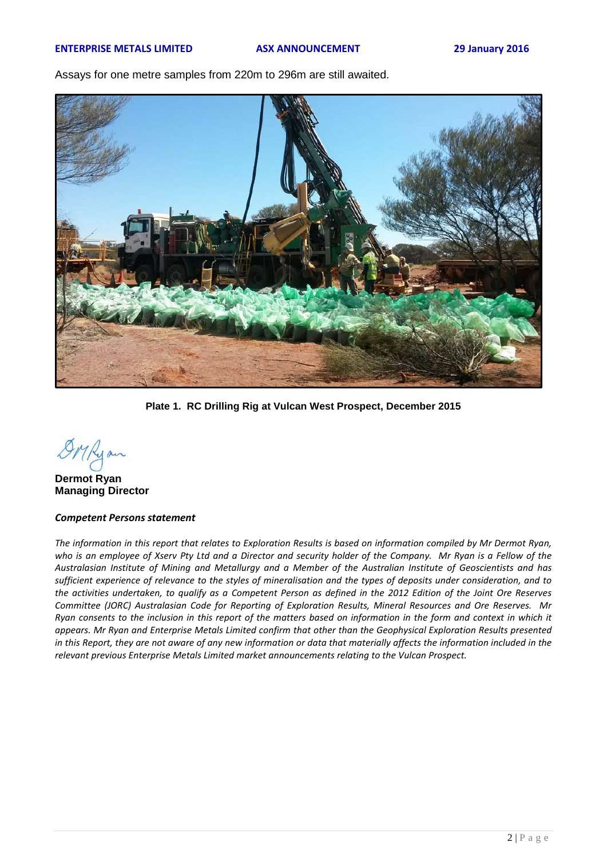Assays for one metre samples from 220m to 296m are still awaited.



**Plate 1. RC Drilling Rig at Vulcan West Prospect, December 2015**

**Dermot Ryan Managing Director**

### *Competent Persons statement*

The information in this report that relates to Exploration Results is based on information compiled by Mr Dermot Ryan, *who is an employee of Xserv Pty Ltd and a Director and security holder of the Company. Mr Ryan is a Fellow of the Australasian Institute of Mining and Metallurgy and a Member of the Australian Institute of Geoscientists and has sufficient experience of relevance to the styles of mineralisation and the types of deposits under consideration, and to the activities undertaken, to qualify as a Competent Person as defined in the 2012 Edition of the Joint Ore Reserves Committee (JORC) Australasian Code for Reporting of Exploration Results, Mineral Resources and Ore Reserves. Mr Ryan consents to the inclusion in this report of the matters based on information in the form and context in which it appears. Mr Ryan and Enterprise Metals Limited confirm that other than the Geophysical Exploration Results presented*  in this Report, they are not aware of any new information or data that materially affects the information included in the *relevant previous Enterprise Metals Limited market announcements relating to the Vulcan Prospect.*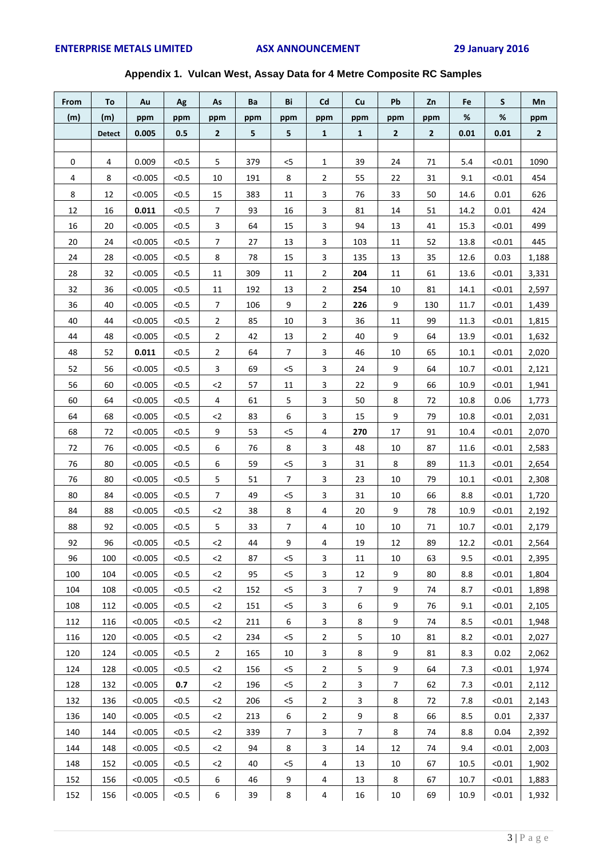## **Appendix 1. Vulcan West, Assay Data for 4 Metre Composite RC Samples**

| From | Τo            | Au      | Ag    | As             | Ba  | Bi             | Cd                      | Cu             | Pb             | Zn             | Fe   | S      | Mn           |
|------|---------------|---------|-------|----------------|-----|----------------|-------------------------|----------------|----------------|----------------|------|--------|--------------|
| (m)  | (m)           | ppm     | ppm   | ppm            | ppm | ppm            | ppm                     | ppm            | ppm            | ppm            | %    | %      | ppm          |
|      | <b>Detect</b> | 0.005   | 0.5   | $\overline{2}$ | 5   | 5              | $\mathbf{1}$            | $\mathbf{1}$   | $\overline{2}$ | $\overline{2}$ | 0.01 | 0.01   | $\mathbf{2}$ |
|      |               |         |       |                |     |                |                         |                |                |                |      |        |              |
| 0    | 4             | 0.009   | < 0.5 | 5              | 379 | < 5            | 1                       | 39             | 24             | 71             | 5.4  | < 0.01 | 1090         |
| 4    | 8             | < 0.005 | < 0.5 | 10             | 191 | 8              | $\overline{2}$          | 55             | 22             | 31             | 9.1  | < 0.01 | 454          |
| 8    | 12            | < 0.005 | < 0.5 | 15             | 383 | 11             | 3                       | 76             | 33             | 50             | 14.6 | 0.01   | 626          |
| 12   | 16            | 0.011   | < 0.5 | $\overline{7}$ | 93  | 16             | 3                       | 81             | 14             | 51             | 14.2 | 0.01   | 424          |
| 16   | 20            | < 0.005 | < 0.5 | $\mathbf{3}$   | 64  | 15             | 3                       | 94             | 13             | 41             | 15.3 | < 0.01 | 499          |
| 20   | 24            | < 0.005 | < 0.5 | $\overline{7}$ | 27  | 13             | 3                       | 103            | 11             | 52             | 13.8 | < 0.01 | 445          |
| 24   | 28            | < 0.005 | < 0.5 | 8              | 78  | 15             | 3                       | 135            | 13             | 35             | 12.6 | 0.03   | 1,188        |
| 28   | 32            | < 0.005 | < 0.5 | 11             | 309 | 11             | $\overline{2}$          | 204            | 11             | 61             | 13.6 | < 0.01 | 3,331        |
| 32   | 36            | < 0.005 | < 0.5 | 11             | 192 | 13             | $\overline{2}$          | 254            | 10             | 81             | 14.1 | < 0.01 | 2,597        |
| 36   | 40            | < 0.005 | < 0.5 | $\overline{7}$ | 106 | 9              | $\overline{2}$          | 226            | 9              | 130            | 11.7 | < 0.01 | 1,439        |
| 40   | 44            | < 0.005 | < 0.5 | $\overline{2}$ | 85  | 10             | 3                       | 36             | 11             | 99             | 11.3 | < 0.01 | 1,815        |
| 44   | 48            | < 0.005 | < 0.5 | $\overline{2}$ | 42  | 13             | $\overline{2}$          | 40             | 9              | 64             | 13.9 | < 0.01 | 1,632        |
| 48   | 52            | 0.011   | < 0.5 | $\overline{2}$ | 64  | 7              | 3                       | 46             | 10             | 65             | 10.1 | < 0.01 | 2,020        |
| 52   | 56            | < 0.005 | < 0.5 | $\mathbf{3}$   | 69  | $5$            | 3                       | 24             | 9              | 64             | 10.7 | < 0.01 | 2,121        |
| 56   | 60            | < 0.005 | < 0.5 | $2$            | 57  | 11             | 3                       | 22             | 9              | 66             | 10.9 | < 0.01 | 1,941        |
| 60   | 64            | < 0.005 | < 0.5 | 4              | 61  | 5              | 3                       | 50             | 8              | 72             | 10.8 | 0.06   | 1,773        |
| 64   | 68            | < 0.005 | < 0.5 | $2$            | 83  | 6              | 3                       | 15             | 9              | 79             | 10.8 | < 0.01 | 2,031        |
| 68   | 72            | < 0.005 | < 0.5 | 9              | 53  | < 5            | 4                       | 270            | 17             | 91             | 10.4 | < 0.01 | 2,070        |
| 72   | 76            | < 0.005 | < 0.5 | 6              | 76  | 8              | 3                       | 48             | 10             | 87             | 11.6 | < 0.01 | 2,583        |
| 76   | 80            | < 0.005 | < 0.5 | 6              | 59  | $< 5$          | $\mathbf{3}$            | 31             | $\bf 8$        | 89             | 11.3 | < 0.01 | 2,654        |
| 76   | 80            | < 0.005 | < 0.5 | 5              | 51  | $\overline{7}$ | 3                       | 23             | 10             | 79             | 10.1 | < 0.01 | 2,308        |
| 80   | 84            | < 0.005 | < 0.5 | 7              | 49  | $< 5$          | 3                       | 31             | 10             | 66             | 8.8  | < 0.01 | 1,720        |
| 84   | 88            | < 0.005 | < 0.5 | $2$            | 38  | 8              | 4                       | 20             | 9              | 78             | 10.9 | < 0.01 | 2,192        |
| 88   | 92            | < 0.005 | < 0.5 | 5              | 33  | 7              | 4                       | 10             | 10             | 71             | 10.7 | < 0.01 | 2,179        |
| 92   | 96            | < 0.005 | < 0.5 | $\langle 2$    | 44  | 9              | 4                       | 19             | 12             | 89             | 12.2 | < 0.01 | 2,564        |
| 96   | 100           | < 0.005 | < 0.5 | $<$ 2          | 87  | <5             | 3                       | 11             | 10             | 63             | 9.5  | < 0.01 | 2,395        |
| 100  | 104           | < 0.005 | < 0.5 | $2$            | 95  | $<$ 5          | 3                       | 12             | 9              | 80             | 8.8  | < 0.01 | 1,804        |
| 104  | 108           | < 0.005 | < 0.5 | $2$            | 152 | $<$ 5          | 3                       | $\overline{7}$ | 9              | 74             | 8.7  | < 0.01 | 1,898        |
| 108  | 112           | < 0.005 | < 0.5 | $2$            | 151 | $<$ 5          | 3                       | 6              | 9              | 76             | 9.1  | < 0.01 | 2,105        |
| 112  | 116           | < 0.005 | < 0.5 | $\leq$         | 211 | 6              | 3                       | 8              | 9              | 74             | 8.5  | < 0.01 | 1,948        |
| 116  | 120           | < 0.005 | < 0.5 | $2$            | 234 | < 5            | $\overline{2}$          | 5              | 10             | 81             | 8.2  | < 0.01 | 2,027        |
| 120  | 124           | < 0.005 | < 0.5 | $\overline{2}$ | 165 | 10             | 3                       | 8              | 9              | 81             | 8.3  | 0.02   | 2,062        |
| 124  | 128           | < 0.005 | < 0.5 | $2$            | 156 | $<$ 5          | $\mathbf{2}$            | 5              | 9              | 64             | 7.3  | < 0.01 | 1,974        |
| 128  | 132           | < 0.005 | 0.7   | $2$            | 196 | $<$ 5          | $\overline{2}$          | 3              | 7              | 62             | 7.3  | < 0.01 | 2,112        |
| 132  | 136           | < 0.005 | < 0.5 | $2$            | 206 | $<$ 5          | $\overline{a}$          | 3              | 8              | 72             | 7.8  | < 0.01 | 2,143        |
| 136  | 140           | < 0.005 | < 0.5 | $2$            | 213 | 6              | $\overline{2}$          | 9              | 8              | 66             | 8.5  | 0.01   | 2,337        |
| 140  | 144           | < 0.005 | < 0.5 | $2$            | 339 | 7              | 3                       | 7              | 8              | 74             | 8.8  | 0.04   | 2,392        |
| 144  | 148           | < 0.005 | < 0.5 | $2$            | 94  | 8              | 3                       | 14             | 12             | 74             | 9.4  | < 0.01 | 2,003        |
| 148  | 152           | < 0.005 | < 0.5 | $2$            | 40  | $<$ 5          | 4                       | 13             | 10             | 67             | 10.5 | < 0.01 | 1,902        |
| 152  | 156           | < 0.005 | < 0.5 | 6              | 46  | 9              | 4                       | 13             | 8              | 67             | 10.7 | < 0.01 | 1,883        |
| 152  | 156           | < 0.005 | < 0.5 | 6              | 39  | $\bf 8$        | $\overline{\mathbf{4}}$ | 16             | 10             | 69             | 10.9 | < 0.01 | 1,932        |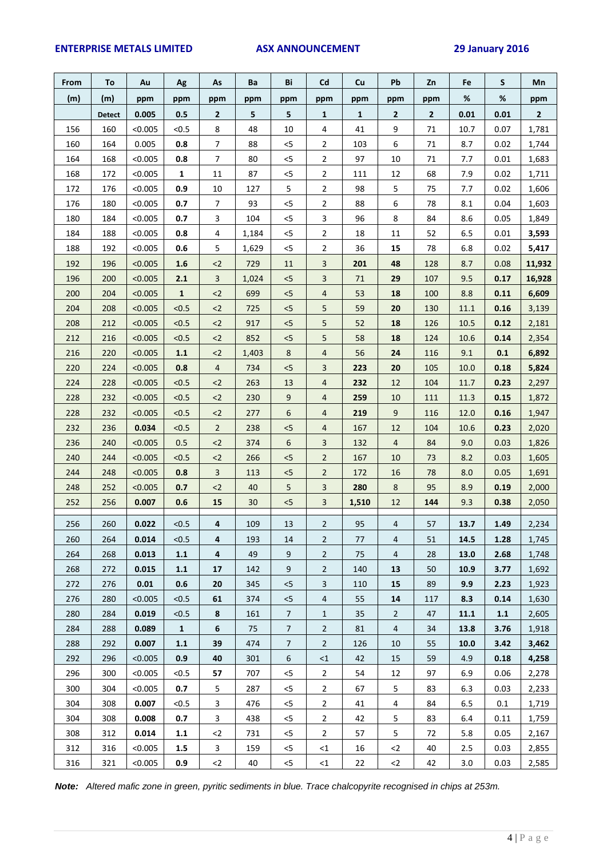### **ENTERPRISE METALS LIMITED ASX ANNOUNCEMENT 29 January 2016**

| From | To            | Au      | Ag           | As                      | Ba    | Bi              | Cd             | Cu           | Pb             | Zn  | Fe   | S    | Mn           |
|------|---------------|---------|--------------|-------------------------|-------|-----------------|----------------|--------------|----------------|-----|------|------|--------------|
| (m)  | (m)           | ppm     | ppm          | ppm                     | ppm   | ppm             | ppm            | ppm          | ppm            | ppm | $\%$ | $\%$ | ppm          |
|      | <b>Detect</b> | 0.005   | 0.5          | $\mathbf{2}$            | 5     | 5               | 1              | $\mathbf{1}$ | 2              | 2   | 0.01 | 0.01 | $\mathbf{2}$ |
| 156  | 160           | < 0.005 | < 0.5        | 8                       | 48    | 10              | 4              | 41           | 9              | 71  | 10.7 | 0.07 | 1,781        |
| 160  | 164           | 0.005   | 0.8          | $\overline{7}$          | 88    | $< 5$           | $\overline{2}$ | 103          | 6              | 71  | 8.7  | 0.02 | 1,744        |
| 164  | 168           | < 0.005 | 0.8          | $\overline{7}$          | 80    | $<$ 5           | $\overline{2}$ | 97           | 10             | 71  | 7.7  | 0.01 | 1,683        |
| 168  | 172           | < 0.005 | $\mathbf{1}$ | 11                      | 87    | $< 5$           | $\overline{2}$ | 111          | 12             | 68  | 7.9  | 0.02 | 1,711        |
| 172  | 176           | < 0.005 | 0.9          | 10                      | 127   | 5               | $\overline{2}$ | 98           | 5              | 75  | 7.7  | 0.02 | 1,606        |
| 176  | 180           | < 0.005 | 0.7          | $\overline{7}$          | 93    | < 5             | $\overline{2}$ | 88           | 6              | 78  | 8.1  | 0.04 | 1,603        |
| 180  | 184           | < 0.005 | 0.7          | 3                       | 104   | $< 5$           | 3              | 96           | 8              | 84  | 8.6  | 0.05 | 1,849        |
| 184  | 188           | < 0.005 | 0.8          | 4                       | 1,184 | $<$ 5           | $\overline{2}$ | 18           | 11             | 52  | 6.5  | 0.01 | 3,593        |
| 188  | 192           | < 0.005 | 0.6          | 5                       | 1,629 | < 5             | $\overline{2}$ | 36           | 15             | 78  | 6.8  | 0.02 | 5,417        |
| 192  | 196           | < 0.005 | 1.6          | $2$                     | 729   | $11\,$          | 3              | 201          | 48             | 128 | 8.7  | 0.08 | 11,932       |
| 196  | 200           | < 0.005 | 2.1          | 3                       | 1,024 | $< 5$           | 3              | 71           | 29             | 107 | 9.5  | 0.17 | 16,928       |
| 200  | 204           | < 0.005 | $\mathbf{1}$ | $2$                     | 699   | $< 5$           | $\overline{4}$ | 53           | 18             | 100 | 8.8  | 0.11 | 6,609        |
| 204  | 208           | < 0.005 | < 0.5        | $2$                     | 725   | $< 5$           | 5              | 59           | 20             | 130 | 11.1 | 0.16 | 3,139        |
| 208  | 212           | < 0.005 | < 0.5        | $2$                     | 917   | $< 5$           | 5              | 52           | 18             | 126 | 10.5 | 0.12 | 2,181        |
| 212  | 216           | < 0.005 | < 0.5        | $2$                     | 852   | $< 5$           | 5              | 58           | 18             | 124 | 10.6 | 0.14 | 2,354        |
| 216  | 220           | < 0.005 | 1.1          | $2$                     | 1,403 | 8               | $\overline{4}$ | 56           | 24             | 116 | 9.1  | 0.1  | 6,892        |
| 220  | 224           | < 0.005 | 0.8          | $\overline{4}$          | 734   | < 5             | 3              | 223          | 20             | 105 | 10.0 | 0.18 | 5,824        |
| 224  | 228           | < 0.005 | < 0.5        | $2$                     | 263   | 13              | $\overline{4}$ | 232          | 12             | 104 | 11.7 | 0.23 | 2,297        |
| 228  | 232           | < 0.005 | < 0.5        | $2$                     | 230   | $9\,$           | 4              | 259          | 10             | 111 | 11.3 | 0.15 | 1,872        |
| 228  | 232           | < 0.005 | < 0.5        | $2$                     | 277   | 6               | 4              | 219          | 9              | 116 | 12.0 | 0.16 | 1,947        |
| 232  | 236           | 0.034   | < 0.5        | $\overline{2}$          | 238   | $< 5$           | $\overline{4}$ | 167          | 12             | 104 | 10.6 | 0.23 | 2,020        |
| 236  | 240           | < 0.005 | 0.5          | $2$                     | 374   | 6               | 3              | 132          | 4              | 84  | 9.0  | 0.03 | 1,826        |
| 240  | 244           | < 0.005 | < 0.5        | $2$                     | 266   | $< 5$           | $\overline{2}$ | 167          | 10             | 73  | 8.2  | 0.03 | 1,605        |
| 244  | 248           | < 0.005 | 0.8          | $\overline{3}$          | 113   | < 5             | $\overline{2}$ | 172          | 16             | 78  | 8.0  | 0.05 | 1,691        |
| 248  | 252           | < 0.005 | 0.7          | $2$                     | 40    | $5\phantom{.0}$ | 3              | 280          | 8              | 95  | 8.9  | 0.19 | 2,000        |
| 252  | 256           | 0.007   | 0.6          | 15                      | 30    | < 5             | 3              | 1,510        | 12             | 144 | 9.3  | 0.38 | 2,050        |
| 256  | 260           | 0.022   | < 0.5        | 4                       | 109   | 13              | $\overline{2}$ | 95           | 4              | 57  | 13.7 | 1.49 | 2,234        |
| 260  | 264           | 0.014   | < 0.5        | 4                       | 193   | 14              | $\overline{2}$ | 77           | $\overline{4}$ | 51  | 14.5 | 1.28 | 1,745        |
| 264  | 268           | 0.013   | 1.1          | 4                       | 49    | 9               | $\mathbf{2}$   | 75           | 4              | 28  | 13.0 | 2.68 | 1,748        |
| 268  | 272           | 0.015   | 1.1          | 17                      | 142   | 9               | $\overline{2}$ | 140          | 13             | 50  | 10.9 | 3.77 | 1,692        |
| 272  | 276           | 0.01    | 0.6          | 20                      | 345   | < 5             | 3              | 110          | 15             | 89  | 9.9  | 2.23 | 1,923        |
| 276  | 280           | < 0.005 | < 0.5        | 61                      | 374   | < 5             | $\overline{4}$ | 55           | 14             | 117 | 8.3  | 0.14 | 1,630        |
| 280  | 284           | 0.019   | < 0.5        | 8                       | 161   | $\overline{7}$  | $\mathbf{1}$   | 35           | $\overline{2}$ | 47  | 11.1 | 1.1  | 2,605        |
| 284  | 288           | 0.089   | $\mathbf{1}$ | 6                       | 75    | $\overline{7}$  | $\overline{2}$ | 81           | 4              | 34  | 13.8 | 3.76 | 1,918        |
| 288  | 292           | 0.007   | $1.1\,$      | 39                      | 474   | $\overline{7}$  | $\overline{2}$ | 126          | 10             | 55  | 10.0 | 3.42 | 3,462        |
| 292  | 296           | < 0.005 | 0.9          | 40                      | 301   | 6               | $\leq$ 1       | 42           | 15             | 59  | 4.9  | 0.18 | 4,258        |
| 296  | 300           | < 0.005 | < 0.5        | 57                      | 707   | $< 5$           | $\overline{2}$ | 54           | 12             | 97  | 6.9  | 0.06 | 2,278        |
| 300  | 304           | < 0.005 | 0.7          | 5                       | 287   | $<$ 5           | $\mathbf{2}$   | 67           | 5              | 83  | 6.3  | 0.03 | 2,233        |
| 304  | 308           | 0.007   | < 0.5        | $\overline{\mathbf{3}}$ | 476   | $<$ 5           | $\overline{2}$ | 41           | 4              | 84  | 6.5  | 0.1  | 1,719        |
| 304  | 308           | 0.008   | 0.7          | 3                       | 438   | $<$ 5           | $\mathbf{2}$   | 42           | 5              | 83  | 6.4  | 0.11 | 1,759        |
| 308  | 312           | 0.014   | $1.1\,$      | $2$                     | 731   | $<$ 5           | $\overline{2}$ | 57           | 5              | 72  | 5.8  | 0.05 | 2,167        |
| 312  | 316           | < 0.005 | $1.5\,$      | 3                       | 159   | $<$ 5           | <1             | 16           | $<$ 2          | 40  | 2.5  | 0.03 | 2,855        |
| 316  | 321           | < 0.005 | 0.9          | $2$                     | 40    | $<$ 5           | $\leq 1$       | 22           | $2$            | 42  | 3.0  | 0.03 | 2,585        |

*Note: Altered mafic zone in green, pyritic sediments in blue. Trace chalcopyrite recognised in chips at 253m.*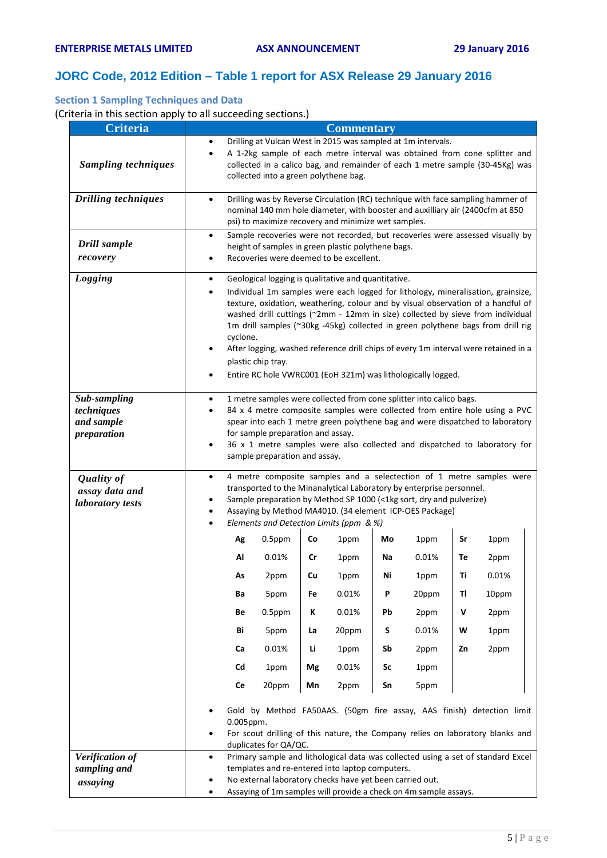## **JORC Code, 2012 Edition – Table 1 report for ASX Release 29 January 2016**

## **Section 1 Sampling Techniques and Data**

(Criteria in this section apply to all succeeding sections.)

| Criteria                                                |                |                                                                                                                                                                                                                                                                                                                                                                                                                                                                                                                                                                                           |                                                                                                                                                                                                                                                                                                                           |    | <b>Commentary</b> |    |       |    |       |  |
|---------------------------------------------------------|----------------|-------------------------------------------------------------------------------------------------------------------------------------------------------------------------------------------------------------------------------------------------------------------------------------------------------------------------------------------------------------------------------------------------------------------------------------------------------------------------------------------------------------------------------------------------------------------------------------------|---------------------------------------------------------------------------------------------------------------------------------------------------------------------------------------------------------------------------------------------------------------------------------------------------------------------------|----|-------------------|----|-------|----|-------|--|
| <b>Sampling techniques</b>                              | $\bullet$      | Drilling at Vulcan West in 2015 was sampled at 1m intervals.<br>A 1-2kg sample of each metre interval was obtained from cone splitter and<br>collected in a calico bag, and remainder of each 1 metre sample (30-45Kg) was<br>collected into a green polythene bag.                                                                                                                                                                                                                                                                                                                       |                                                                                                                                                                                                                                                                                                                           |    |                   |    |       |    |       |  |
| <b>Drilling techniques</b>                              |                | Drilling was by Reverse Circulation (RC) technique with face sampling hammer of<br>nominal 140 mm hole diameter, with booster and auxilliary air (2400cfm at 850<br>psi) to maximize recovery and minimize wet samples.                                                                                                                                                                                                                                                                                                                                                                   |                                                                                                                                                                                                                                                                                                                           |    |                   |    |       |    |       |  |
| Drill sample<br>recovery                                | $\bullet$      | Sample recoveries were not recorded, but recoveries were assessed visually by<br>height of samples in green plastic polythene bags.<br>Recoveries were deemed to be excellent.                                                                                                                                                                                                                                                                                                                                                                                                            |                                                                                                                                                                                                                                                                                                                           |    |                   |    |       |    |       |  |
| Logging                                                 | ٠<br>$\bullet$ | Geological logging is qualitative and quantitative.<br>Individual 1m samples were each logged for lithology, mineralisation, grainsize,<br>texture, oxidation, weathering, colour and by visual observation of a handful of<br>washed drill cuttings (~2mm - 12mm in size) collected by sieve from individual<br>1m drill samples (~30kg -45kg) collected in green polythene bags from drill rig<br>cyclone.<br>After logging, washed reference drill chips of every 1m interval were retained in a<br>plastic chip tray.<br>Entire RC hole VWRC001 (EoH 321m) was lithologically logged. |                                                                                                                                                                                                                                                                                                                           |    |                   |    |       |    |       |  |
| Sub-sampling<br>techniques<br>and sample<br>preparation | $\bullet$      | 1 metre samples were collected from cone splitter into calico bags.<br>84 x 4 metre composite samples were collected from entire hole using a PVC<br>spear into each 1 metre green polythene bag and were dispatched to laboratory<br>for sample preparation and assay.<br>36 x 1 metre samples were also collected and dispatched to laboratory for<br>sample preparation and assay.                                                                                                                                                                                                     |                                                                                                                                                                                                                                                                                                                           |    |                   |    |       |    |       |  |
| <b>Quality of</b><br>assay data and<br>laboratory tests | $\bullet$      |                                                                                                                                                                                                                                                                                                                                                                                                                                                                                                                                                                                           | 4 metre composite samples and a selectection of 1 metre samples were<br>transported to the Minanalytical Laboratory by enterprise personnel.<br>Sample preparation by Method SP 1000 (<1kg sort, dry and pulverize)<br>Assaying by Method MA4010. (34 element ICP-OES Package)<br>Elements and Detection Limits (ppm & %) |    |                   |    |       |    |       |  |
|                                                         |                | Ag                                                                                                                                                                                                                                                                                                                                                                                                                                                                                                                                                                                        | $0.5$ ppm                                                                                                                                                                                                                                                                                                                 | Co | 1ppm              | Mo | 1ppm  | Sr | 1ppm  |  |
|                                                         |                | Al                                                                                                                                                                                                                                                                                                                                                                                                                                                                                                                                                                                        | 0.01%                                                                                                                                                                                                                                                                                                                     | Cr | 1ppm              | Na | 0.01% | Тe | 2ppm  |  |
|                                                         |                | As                                                                                                                                                                                                                                                                                                                                                                                                                                                                                                                                                                                        | 2ppm                                                                                                                                                                                                                                                                                                                      | Cu | 1ppm              | Ni | 1ppm  | Τi | 0.01% |  |
|                                                         |                | Ba                                                                                                                                                                                                                                                                                                                                                                                                                                                                                                                                                                                        | 5ppm                                                                                                                                                                                                                                                                                                                      | Fe | 0.01%             | P  | 20ppm | TI | 10ppm |  |
|                                                         |                | Be                                                                                                                                                                                                                                                                                                                                                                                                                                                                                                                                                                                        | $0.5$ ppm                                                                                                                                                                                                                                                                                                                 | ĸ  | 0.01%             | Pb | 2ppm  | ۷  | 2ppm  |  |
|                                                         |                | Bi                                                                                                                                                                                                                                                                                                                                                                                                                                                                                                                                                                                        | 5ppm                                                                                                                                                                                                                                                                                                                      | La | 20ppm             | S  | 0.01% | W  | 1ppm  |  |
|                                                         |                | Ca                                                                                                                                                                                                                                                                                                                                                                                                                                                                                                                                                                                        | 0.01%                                                                                                                                                                                                                                                                                                                     | Li | 1ppm              | Sb | 2ppm  | Zn | 2ppm  |  |
|                                                         |                | Cd                                                                                                                                                                                                                                                                                                                                                                                                                                                                                                                                                                                        | 1ppm                                                                                                                                                                                                                                                                                                                      | Mg | 0.01%             | Sc | 1ppm  |    |       |  |
|                                                         |                | Ce                                                                                                                                                                                                                                                                                                                                                                                                                                                                                                                                                                                        | 20ppm                                                                                                                                                                                                                                                                                                                     | Mn | 2ppm              | Sn | 5ppm  |    |       |  |
|                                                         |                | Gold by Method FA50AAS. (50gm fire assay, AAS finish) detection limit<br>0.005ppm.<br>For scout drilling of this nature, the Company relies on laboratory blanks and<br>duplicates for QA/QC.                                                                                                                                                                                                                                                                                                                                                                                             |                                                                                                                                                                                                                                                                                                                           |    |                   |    |       |    |       |  |
| Verification of                                         | $\bullet$      |                                                                                                                                                                                                                                                                                                                                                                                                                                                                                                                                                                                           | Primary sample and lithological data was collected using a set of standard Excel                                                                                                                                                                                                                                          |    |                   |    |       |    |       |  |
| sampling and                                            |                |                                                                                                                                                                                                                                                                                                                                                                                                                                                                                                                                                                                           | templates and re-entered into laptop computers.                                                                                                                                                                                                                                                                           |    |                   |    |       |    |       |  |
| assaying                                                |                | No external laboratory checks have yet been carried out.<br>Assaying of 1m samples will provide a check on 4m sample assays.                                                                                                                                                                                                                                                                                                                                                                                                                                                              |                                                                                                                                                                                                                                                                                                                           |    |                   |    |       |    |       |  |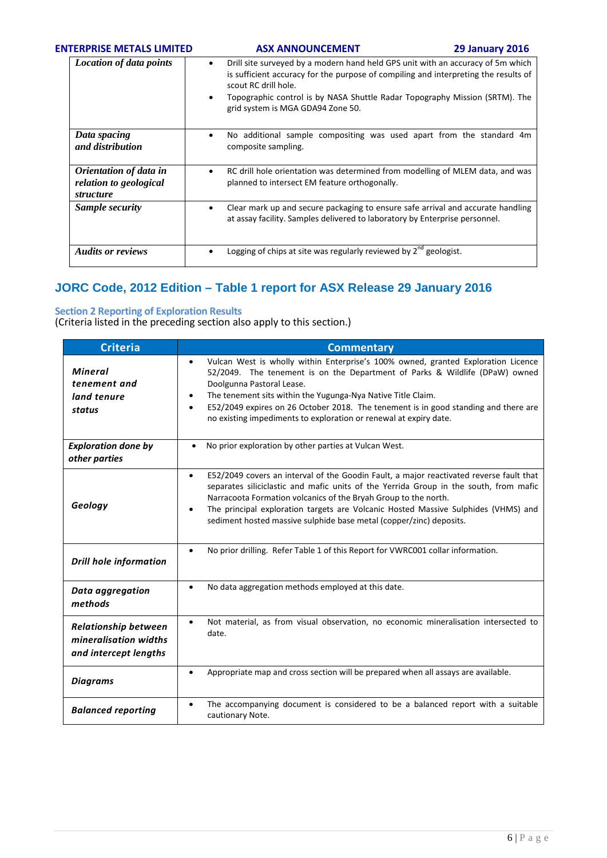### **ENTERPRISE METALS LIMITED ASX ANNOUNCEMENT 29 January 2016**

| <b>Location of data points</b>                                                     | Drill site surveyed by a modern hand held GPS unit with an accuracy of 5m which<br>is sufficient accuracy for the purpose of compiling and interpreting the results of<br>scout RC drill hole.<br>Topographic control is by NASA Shuttle Radar Topography Mission (SRTM). The<br>٠<br>grid system is MGA GDA94 Zone 50. |
|------------------------------------------------------------------------------------|-------------------------------------------------------------------------------------------------------------------------------------------------------------------------------------------------------------------------------------------------------------------------------------------------------------------------|
| Data spacing<br>and distribution                                                   | No additional sample compositing was used apart from the standard 4m<br>٠<br>composite sampling.                                                                                                                                                                                                                        |
| <i><b>Orientation of data in</b></i><br>relation to geological<br><i>structure</i> | RC drill hole orientation was determined from modelling of MLEM data, and was<br>٠<br>planned to intersect EM feature orthogonally.                                                                                                                                                                                     |
| Sample security                                                                    | Clear mark up and secure packaging to ensure safe arrival and accurate handling<br>٠<br>at assay facility. Samples delivered to laboratory by Enterprise personnel.                                                                                                                                                     |
| <b>Audits or reviews</b>                                                           | Logging of chips at site was regularly reviewed by $2^{nd}$ geologist.                                                                                                                                                                                                                                                  |

## **JORC Code, 2012 Edition – Table 1 report for ASX Release 29 January 2016**

## **Section 2 Reporting of Exploration Results**

(Criteria listed in the preceding section also apply to this section.)

| <b>Criteria</b>                                                               | <b>Commentary</b>                                                                                                                                                                                                                                                                                                                                                                                                                      |
|-------------------------------------------------------------------------------|----------------------------------------------------------------------------------------------------------------------------------------------------------------------------------------------------------------------------------------------------------------------------------------------------------------------------------------------------------------------------------------------------------------------------------------|
| <b>Mineral</b><br>tenement and<br>land tenure<br>status                       | Vulcan West is wholly within Enterprise's 100% owned, granted Exploration Licence<br>$\bullet$<br>52/2049. The tenement is on the Department of Parks & Wildlife (DPaW) owned<br>Doolgunna Pastoral Lease.<br>The tenement sits within the Yugunga-Nya Native Title Claim.<br>E52/2049 expires on 26 October 2018. The tenement is in good standing and there are<br>no existing impediments to exploration or renewal at expiry date. |
| <b>Exploration done by</b><br>other parties                                   | No prior exploration by other parties at Vulcan West.<br>$\bullet$                                                                                                                                                                                                                                                                                                                                                                     |
| Geology                                                                       | E52/2049 covers an interval of the Goodin Fault, a major reactivated reverse fault that<br>$\bullet$<br>separates siliciclastic and mafic units of the Yerrida Group in the south, from mafic<br>Narracoota Formation volcanics of the Bryah Group to the north.<br>The principal exploration targets are Volcanic Hosted Massive Sulphides (VHMS) and<br>sediment hosted massive sulphide base metal (copper/zinc) deposits.          |
| <b>Drill hole information</b>                                                 | No prior drilling. Refer Table 1 of this Report for VWRC001 collar information.                                                                                                                                                                                                                                                                                                                                                        |
| Data aggregation<br>methods                                                   | No data aggregation methods employed at this date.                                                                                                                                                                                                                                                                                                                                                                                     |
| <b>Relationship between</b><br>mineralisation widths<br>and intercept lengths | Not material, as from visual observation, no economic mineralisation intersected to<br>date.                                                                                                                                                                                                                                                                                                                                           |
| <b>Diagrams</b>                                                               | Appropriate map and cross section will be prepared when all assays are available.                                                                                                                                                                                                                                                                                                                                                      |
| <b>Balanced reporting</b>                                                     | The accompanying document is considered to be a balanced report with a suitable<br>cautionary Note.                                                                                                                                                                                                                                                                                                                                    |